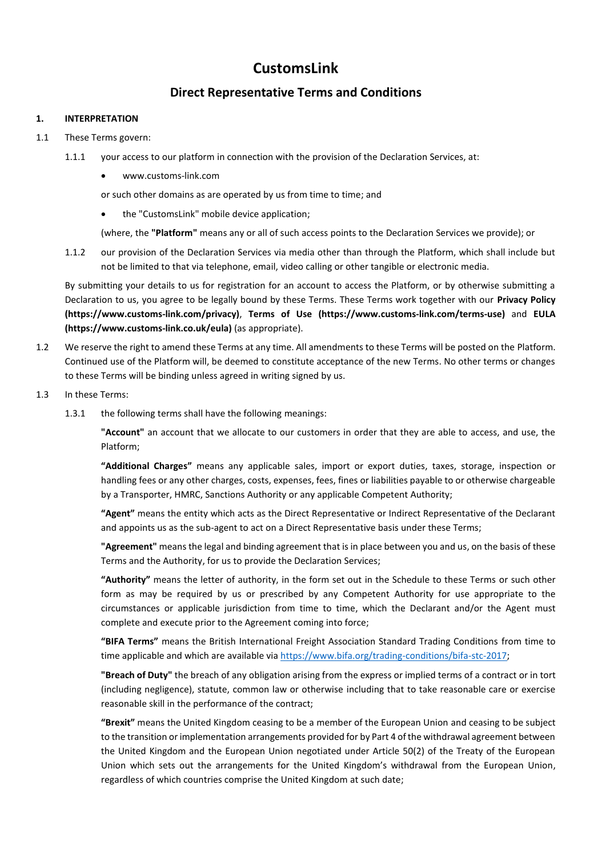# **CustomsLink**

## **Direct Representative Terms and Conditions**

#### **1. INTERPRETATION**

#### 1.1 These Terms govern:

- 1.1.1 your access to our platform in connection with the provision of the Declaration Services, at:
	- [www.customs-link.com](http://www.customs-link.com/)

or such other domains as are operated by us from time to time; and

• the "CustomsLink" mobile device application;

(where, the **"Platform"** means any or all of such access points to the Declaration Services we provide); or

1.1.2 our provision of the Declaration Services via media other than through the Platform, which shall include but not be limited to that via telephone, email, video calling or other tangible or electronic media.

By submitting your details to us for registration for an account to access the Platform, or by otherwise submitting a Declaration to us, you agree to be legally bound by these Terms. These Terms work together with our **Privacy Policy (https://www.customs-link.com/privacy)**, **Terms of Use (https://www.customs-link.com/terms-use)** and **EULA (https://www.customs-link.co.uk/eula)** (as appropriate).

- 1.2 We reserve the right to amend these Terms at any time. All amendments to these Terms will be posted on the Platform. Continued use of the Platform will, be deemed to constitute acceptance of the new Terms. No other terms or changes to these Terms will be binding unless agreed in writing signed by us.
- 1.3 In these Terms:
	- 1.3.1 the following terms shall have the following meanings:

**"Account"** an account that we allocate to our customers in order that they are able to access, and use, the Platform;

**"Additional Charges"** means any applicable sales, import or export duties, taxes, storage, inspection or handling fees or any other charges, costs, expenses, fees, fines or liabilities payable to or otherwise chargeable by a Transporter, HMRC, Sanctions Authority or any applicable Competent Authority;

**"Agent"** means the entity which acts as the Direct Representative or Indirect Representative of the Declarant and appoints us as the sub-agent to act on a Direct Representative basis under these Terms;

**"Agreement"** means the legal and binding agreement that is in place between you and us, on the basis of these Terms and the Authority, for us to provide the Declaration Services;

**"Authority"** means the letter of authority, in the form set out in the Schedule to these Terms or such other form as may be required by us or prescribed by any Competent Authority for use appropriate to the circumstances or applicable jurisdiction from time to time, which the Declarant and/or the Agent must complete and execute prior to the Agreement coming into force;

**"BIFA Terms"** means the British International Freight Association Standard Trading Conditions from time to time applicable and which are available via [https://www.bifa.org/trading-conditions/bifa-stc-2017;](https://www.bifa.org/trading-conditions/bifa-stc-2017)

**"Breach of Duty"** the breach of any obligation arising from the express or implied terms of a contract or in tort (including negligence), statute, common law or otherwise including that to take reasonable care or exercise reasonable skill in the performance of the contract;

**"Brexit"** means the United Kingdom ceasing to be a member of the European Union and ceasing to be subject to the transition or implementation arrangements provided for by Part 4 of the withdrawal agreement between the United Kingdom and the European Union negotiated under Article 50(2) of the Treaty of the European Union which sets out the arrangements for the United Kingdom's withdrawal from the European Union, regardless of which countries comprise the United Kingdom at such date;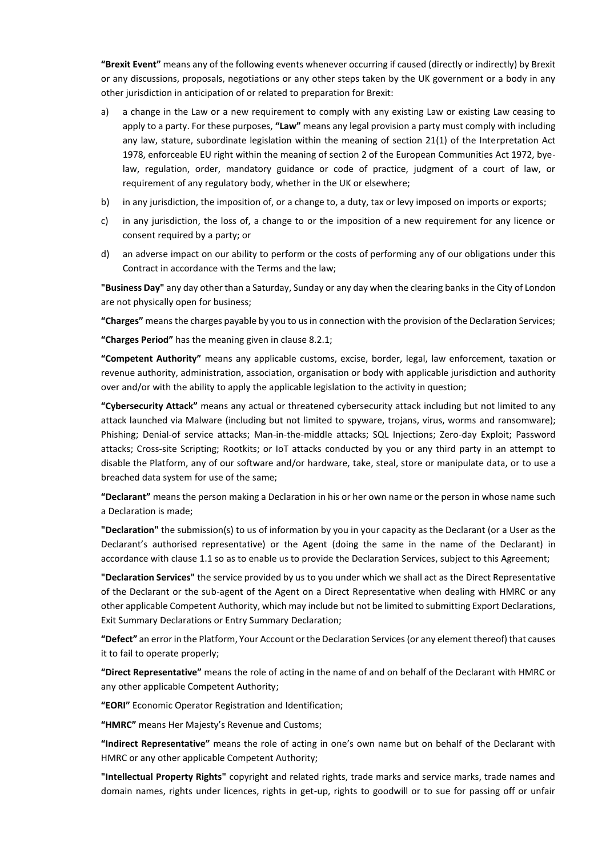**"Brexit Event"** means any of the following events whenever occurring if caused (directly or indirectly) by Brexit or any discussions, proposals, negotiations or any other steps taken by the UK government or a body in any other jurisdiction in anticipation of or related to preparation for Brexit:

- a) a change in the Law or a new requirement to comply with any existing Law or existing Law ceasing to apply to a party. For these purposes, **"Law"** means any legal provision a party must comply with including any law, stature, subordinate legislation within the meaning of section 21(1) of the Interpretation Act 1978, enforceable EU right within the meaning of section 2 of the European Communities Act 1972, byelaw, regulation, order, mandatory guidance or code of practice, judgment of a court of law, or requirement of any regulatory body, whether in the UK or elsewhere;
- b) in any jurisdiction, the imposition of, or a change to, a duty, tax or levy imposed on imports or exports;
- c) in any jurisdiction, the loss of, a change to or the imposition of a new requirement for any licence or consent required by a party; or
- d) an adverse impact on our ability to perform or the costs of performing any of our obligations under this Contract in accordance with the Terms and the law;

**"Business Day"** any day other than a Saturday, Sunday or any day when the clearing banks in the City of London are not physically open for business;

**"Charges"** means the charges payable by you to us in connection with the provision of the Declaration Services;

**"Charges Period"** has the meaning given in clause 8.2.1;

**"Competent Authority"** means any applicable customs, excise, border, legal, law enforcement, taxation or revenue authority, administration, association, organisation or body with applicable jurisdiction and authority over and/or with the ability to apply the applicable legislation to the activity in question;

**"Cybersecurity Attack"** means any actual or threatened cybersecurity attack including but not limited to any attack launched via Malware (including but not limited to spyware, trojans, virus, worms and ransomware); Phishing; Denial-of service attacks; Man-in-the-middle attacks; SQL Injections; Zero-day Exploit; Password attacks; Cross-site Scripting; Rootkits; or IoT attacks conducted by you or any third party in an attempt to disable the Platform, any of our software and/or hardware, take, steal, store or manipulate data, or to use a breached data system for use of the same;

**"Declarant"** means the person making a Declaration in his or her own name or the person in whose name such a Declaration is made;

**"Declaration"** the submission(s) to us of information by you in your capacity as the Declarant (or a User as the Declarant's authorised representative) or the Agent (doing the same in the name of the Declarant) in accordance with clause 1.1 so as to enable us to provide the Declaration Services, subject to this Agreement;

**"Declaration Services"** the service provided by us to you under which we shall act as the Direct Representative of the Declarant or the sub-agent of the Agent on a Direct Representative when dealing with HMRC or any other applicable Competent Authority, which may include but not be limited to submitting Export Declarations, Exit Summary Declarations or Entry Summary Declaration;

**"Defect"** an error in the Platform, Your Account or the Declaration Services (or any element thereof) that causes it to fail to operate properly;

**"Direct Representative"** means the role of acting in the name of and on behalf of the Declarant with HMRC or any other applicable Competent Authority;

**"EORI"** Economic Operator Registration and Identification;

**"HMRC"** means Her Majesty's Revenue and Customs;

**"Indirect Representative"** means the role of acting in one's own name but on behalf of the Declarant with HMRC or any other applicable Competent Authority;

**"Intellectual Property Rights"** copyright and related rights, trade marks and service marks, trade names and domain names, rights under licences, rights in get-up, rights to goodwill or to sue for passing off or unfair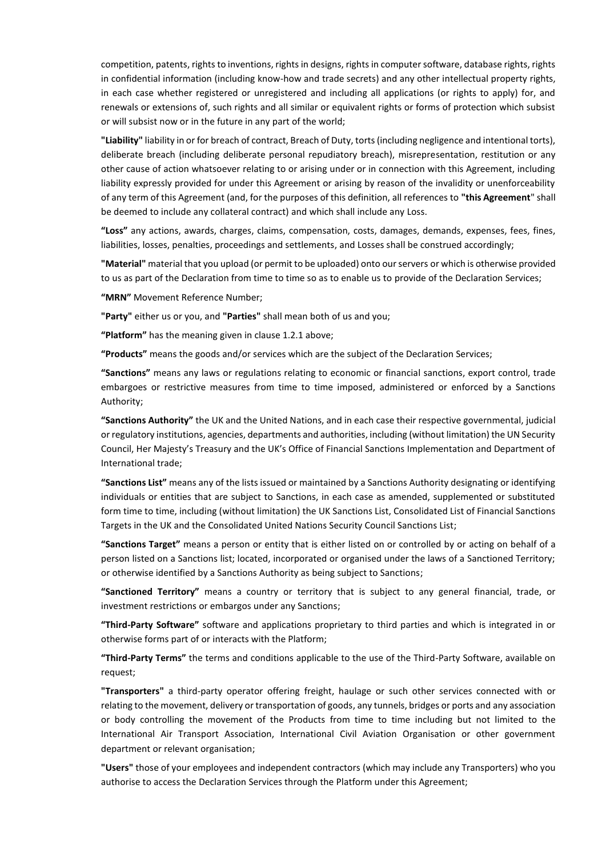competition, patents, rights to inventions, rights in designs, rights in computer software, database rights, rights in confidential information (including know-how and trade secrets) and any other intellectual property rights, in each case whether registered or unregistered and including all applications (or rights to apply) for, and renewals or extensions of, such rights and all similar or equivalent rights or forms of protection which subsist or will subsist now or in the future in any part of the world;

**"Liability"** liability in or for breach of contract, Breach of Duty, torts (including negligence and intentional torts), deliberate breach (including deliberate personal repudiatory breach), misrepresentation, restitution or any other cause of action whatsoever relating to or arising under or in connection with this Agreement, including liability expressly provided for under this Agreement or arising by reason of the invalidity or unenforceability of any term of this Agreement (and, for the purposes of this definition, all references to **"this Agreement**" shall be deemed to include any collateral contract) and which shall include any Loss.

**"Loss"** any actions, awards, charges, claims, compensation, costs, damages, demands, expenses, fees, fines, liabilities, losses, penalties, proceedings and settlements, and Losses shall be construed accordingly;

**"Material"** material that you upload (or permit to be uploaded) onto our servers or which is otherwise provided to us as part of the Declaration from time to time so as to enable us to provide of the Declaration Services;

**"MRN"** Movement Reference Number;

**"Party"** either us or you, and **"Parties"** shall mean both of us and you;

**"Platform"** has the meaning given in clause 1.2.1 above;

**"Products"** means the goods and/or services which are the subject of the Declaration Services;

**"Sanctions"** means any laws or regulations relating to economic or financial sanctions, export control, trade embargoes or restrictive measures from time to time imposed, administered or enforced by a Sanctions Authority;

**"Sanctions Authority"** the UK and the United Nations, and in each case their respective governmental, judicial or regulatory institutions, agencies, departments and authorities, including (without limitation) the UN Security Council, Her Majesty's Treasury and the UK's Office of Financial Sanctions Implementation and Department of International trade;

**"Sanctions List"** means any of the lists issued or maintained by a Sanctions Authority designating or identifying individuals or entities that are subject to Sanctions, in each case as amended, supplemented or substituted form time to time, including (without limitation) the UK Sanctions List, Consolidated List of Financial Sanctions Targets in the UK and the Consolidated United Nations Security Council Sanctions List;

**"Sanctions Target"** means a person or entity that is either listed on or controlled by or acting on behalf of a person listed on a Sanctions list; located, incorporated or organised under the laws of a Sanctioned Territory; or otherwise identified by a Sanctions Authority as being subject to Sanctions;

**"Sanctioned Territory"** means a country or territory that is subject to any general financial, trade, or investment restrictions or embargos under any Sanctions;

**"Third-Party Software"** software and applications proprietary to third parties and which is integrated in or otherwise forms part of or interacts with the Platform;

**"Third-Party Terms"** the terms and conditions applicable to the use of the Third-Party Software, available on request;

**"Transporters"** a third-party operator offering freight, haulage or such other services connected with or relating to the movement, delivery or transportation of goods, any tunnels, bridges or ports and any association or body controlling the movement of the Products from time to time including but not limited to the International Air Transport Association, International Civil Aviation Organisation or other government department or relevant organisation;

**"Users"** those of your employees and independent contractors (which may include any Transporters) who you authorise to access the Declaration Services through the Platform under this Agreement;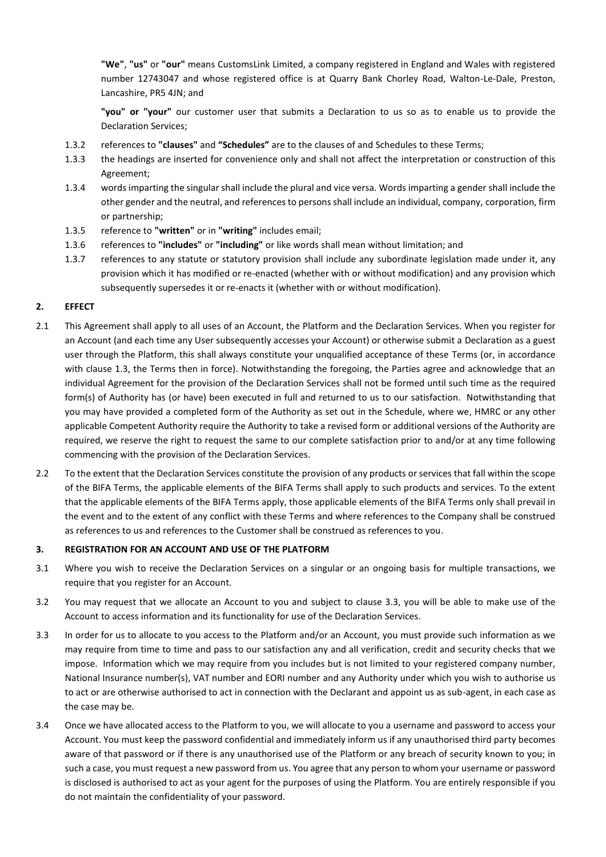**"We"**, **"us"** or **"our"** means CustomsLink Limited, a company registered in England and Wales with registered number 12743047 and whose registered office is at Quarry Bank Chorley Road, Walton-Le-Dale, Preston, Lancashire, PR5 4JN; and

**"you" or "your"** our customer user that submits a Declaration to us so as to enable us to provide the Declaration Services;

- 1.3.2 references to **"clauses"** and **"Schedules"** are to the clauses of and Schedules to these Terms;
- 1.3.3 the headings are inserted for convenience only and shall not affect the interpretation or construction of this Agreement;
- 1.3.4 words imparting the singular shall include the plural and vice versa. Words imparting a gender shall include the other gender and the neutral, and references to persons shall include an individual, company, corporation, firm or partnership;
- 1.3.5 reference to **"written"** or in **"writing"** includes email;
- 1.3.6 references to **"includes"** or **"including"** or like words shall mean without limitation; and
- 1.3.7 references to any statute or statutory provision shall include any subordinate legislation made under it, any provision which it has modified or re-enacted (whether with or without modification) and any provision which subsequently supersedes it or re-enacts it (whether with or without modification).

#### **2. EFFECT**

- 2.1 This Agreement shall apply to all uses of an Account, the Platform and the Declaration Services. When you register for an Account (and each time any User subsequently accesses your Account) or otherwise submit a Declaration as a guest user through the Platform, this shall always constitute your unqualified acceptance of these Terms (or, in accordance with clause 1.3, the Terms then in force). Notwithstanding the foregoing, the Parties agree and acknowledge that an individual Agreement for the provision of the Declaration Services shall not be formed until such time as the required form(s) of Authority has (or have) been executed in full and returned to us to our satisfaction. Notwithstanding that you may have provided a completed form of the Authority as set out in the Schedule, where we, HMRC or any other applicable Competent Authority require the Authority to take a revised form or additional versions of the Authority are required, we reserve the right to request the same to our complete satisfaction prior to and/or at any time following commencing with the provision of the Declaration Services.
- 2.2 To the extent that the Declaration Services constitute the provision of any products or services that fall within the scope of the BIFA Terms, the applicable elements of the BIFA Terms shall apply to such products and services. To the extent that the applicable elements of the BIFA Terms apply, those applicable elements of the BIFA Terms only shall prevail in the event and to the extent of any conflict with these Terms and where references to the Company shall be construed as references to us and references to the Customer shall be construed as references to you.

#### **3. REGISTRATION FOR AN ACCOUNT AND USE OF THE PLATFORM**

- 3.1 Where you wish to receive the Declaration Services on a singular or an ongoing basis for multiple transactions, we require that you register for an Account.
- 3.2 You may request that we allocate an Account to you and subject to clause 3.3, you will be able to make use of the Account to access information and its functionality for use of the Declaration Services.
- 3.3 In order for us to allocate to you access to the Platform and/or an Account, you must provide such information as we may require from time to time and pass to our satisfaction any and all verification, credit and security checks that we impose. Information which we may require from you includes but is not limited to your registered company number, National Insurance number(s), VAT number and EORI number and any Authority under which you wish to authorise us to act or are otherwise authorised to act in connection with the Declarant and appoint us as sub-agent, in each case as the case may be.
- 3.4 Once we have allocated access to the Platform to you, we will allocate to you a username and password to access your Account. You must keep the password confidential and immediately inform us if any unauthorised third party becomes aware of that password or if there is any unauthorised use of the Platform or any breach of security known to you; in such a case, you must request a new password from us. You agree that any person to whom your username or password is disclosed is authorised to act as your agent for the purposes of using the Platform. You are entirely responsible if you do not maintain the confidentiality of your password.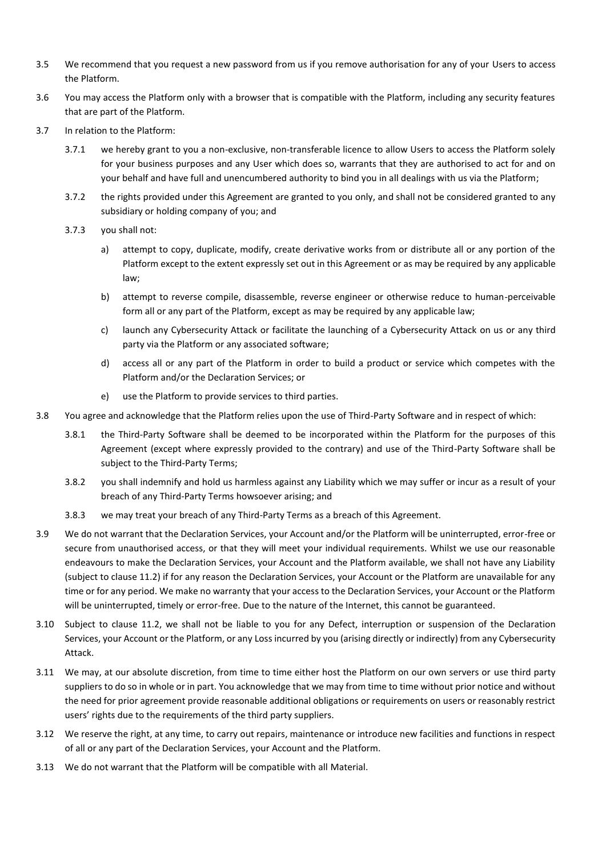- 3.5 We recommend that you request a new password from us if you remove authorisation for any of your Users to access the Platform.
- 3.6 You may access the Platform only with a browser that is compatible with the Platform, including any security features that are part of the Platform.
- 3.7 In relation to the Platform:
	- 3.7.1 we hereby grant to you a non-exclusive, non-transferable licence to allow Users to access the Platform solely for your business purposes and any User which does so, warrants that they are authorised to act for and on your behalf and have full and unencumbered authority to bind you in all dealings with us via the Platform;
	- 3.7.2 the rights provided under this Agreement are granted to you only, and shall not be considered granted to any subsidiary or holding company of you; and
	- 3.7.3 you shall not:
		- a) attempt to copy, duplicate, modify, create derivative works from or distribute all or any portion of the Platform except to the extent expressly set out in this Agreement or as may be required by any applicable law;
		- b) attempt to reverse compile, disassemble, reverse engineer or otherwise reduce to human-perceivable form all or any part of the Platform, except as may be required by any applicable law;
		- c) launch any Cybersecurity Attack or facilitate the launching of a Cybersecurity Attack on us or any third party via the Platform or any associated software;
		- d) access all or any part of the Platform in order to build a product or service which competes with the Platform and/or the Declaration Services; or
		- e) use the Platform to provide services to third parties.
- 3.8 You agree and acknowledge that the Platform relies upon the use of Third-Party Software and in respect of which:
	- 3.8.1 the Third-Party Software shall be deemed to be incorporated within the Platform for the purposes of this Agreement (except where expressly provided to the contrary) and use of the Third-Party Software shall be subject to the Third-Party Terms;
	- 3.8.2 you shall indemnify and hold us harmless against any Liability which we may suffer or incur as a result of your breach of any Third-Party Terms howsoever arising; and
	- 3.8.3 we may treat your breach of any Third-Party Terms as a breach of this Agreement.
- 3.9 We do not warrant that the Declaration Services, your Account and/or the Platform will be uninterrupted, error-free or secure from unauthorised access, or that they will meet your individual requirements. Whilst we use our reasonable endeavours to make the Declaration Services, your Account and the Platform available, we shall not have any Liability (subject to clause 11.2) if for any reason the Declaration Services, your Account or the Platform are unavailable for any time or for any period. We make no warranty that your access to the Declaration Services, your Account or the Platform will be uninterrupted, timely or error-free. Due to the nature of the Internet, this cannot be guaranteed.
- 3.10 Subject to clause 11.2, we shall not be liable to you for any Defect, interruption or suspension of the Declaration Services, your Account or the Platform, or any Loss incurred by you (arising directly or indirectly) from any Cybersecurity Attack.
- 3.11 We may, at our absolute discretion, from time to time either host the Platform on our own servers or use third party suppliers to do so in whole or in part. You acknowledge that we may from time to time without prior notice and without the need for prior agreement provide reasonable additional obligations or requirements on users or reasonably restrict users' rights due to the requirements of the third party suppliers.
- 3.12 We reserve the right, at any time, to carry out repairs, maintenance or introduce new facilities and functions in respect of all or any part of the Declaration Services, your Account and the Platform.
- 3.13 We do not warrant that the Platform will be compatible with all Material.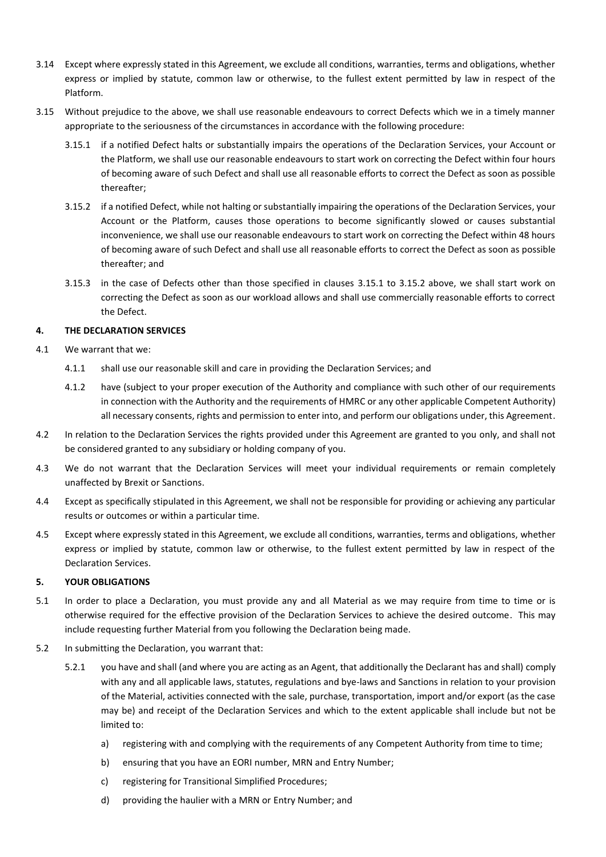- 3.14 Except where expressly stated in this Agreement, we exclude all conditions, warranties, terms and obligations, whether express or implied by statute, common law or otherwise, to the fullest extent permitted by law in respect of the Platform.
- 3.15 Without prejudice to the above, we shall use reasonable endeavours to correct Defects which we in a timely manner appropriate to the seriousness of the circumstances in accordance with the following procedure:
	- 3.15.1 if a notified Defect halts or substantially impairs the operations of the Declaration Services, your Account or the Platform, we shall use our reasonable endeavours to start work on correcting the Defect within four hours of becoming aware of such Defect and shall use all reasonable efforts to correct the Defect as soon as possible thereafter;
	- 3.15.2 if a notified Defect, while not halting or substantially impairing the operations of the Declaration Services, your Account or the Platform, causes those operations to become significantly slowed or causes substantial inconvenience, we shall use our reasonable endeavours to start work on correcting the Defect within 48 hours of becoming aware of such Defect and shall use all reasonable efforts to correct the Defect as soon as possible thereafter; and
	- 3.15.3 in the case of Defects other than those specified in clauses 3.15.1 to 3.15.2 above, we shall start work on correcting the Defect as soon as our workload allows and shall use commercially reasonable efforts to correct the Defect.

## **4. THE DECLARATION SERVICES**

- 4.1 We warrant that we:
	- 4.1.1 shall use our reasonable skill and care in providing the Declaration Services; and
	- 4.1.2 have (subject to your proper execution of the Authority and compliance with such other of our requirements in connection with the Authority and the requirements of HMRC or any other applicable Competent Authority) all necessary consents, rights and permission to enter into, and perform our obligations under, this Agreement.
- 4.2 In relation to the Declaration Services the rights provided under this Agreement are granted to you only, and shall not be considered granted to any subsidiary or holding company of you.
- 4.3 We do not warrant that the Declaration Services will meet your individual requirements or remain completely unaffected by Brexit or Sanctions.
- 4.4 Except as specifically stipulated in this Agreement, we shall not be responsible for providing or achieving any particular results or outcomes or within a particular time.
- 4.5 Except where expressly stated in this Agreement, we exclude all conditions, warranties, terms and obligations, whether express or implied by statute, common law or otherwise, to the fullest extent permitted by law in respect of the Declaration Services.

#### **5. YOUR OBLIGATIONS**

- 5.1 In order to place a Declaration, you must provide any and all Material as we may require from time to time or is otherwise required for the effective provision of the Declaration Services to achieve the desired outcome. This may include requesting further Material from you following the Declaration being made.
- 5.2 In submitting the Declaration, you warrant that:
	- 5.2.1 you have and shall (and where you are acting as an Agent, that additionally the Declarant has and shall) comply with any and all applicable laws, statutes, regulations and bye-laws and Sanctions in relation to your provision of the Material, activities connected with the sale, purchase, transportation, import and/or export (as the case may be) and receipt of the Declaration Services and which to the extent applicable shall include but not be limited to:
		- a) registering with and complying with the requirements of any Competent Authority from time to time;
		- b) ensuring that you have an EORI number, MRN and Entry Number;
		- c) registering for Transitional Simplified Procedures;
		- d) providing the haulier with a MRN or Entry Number; and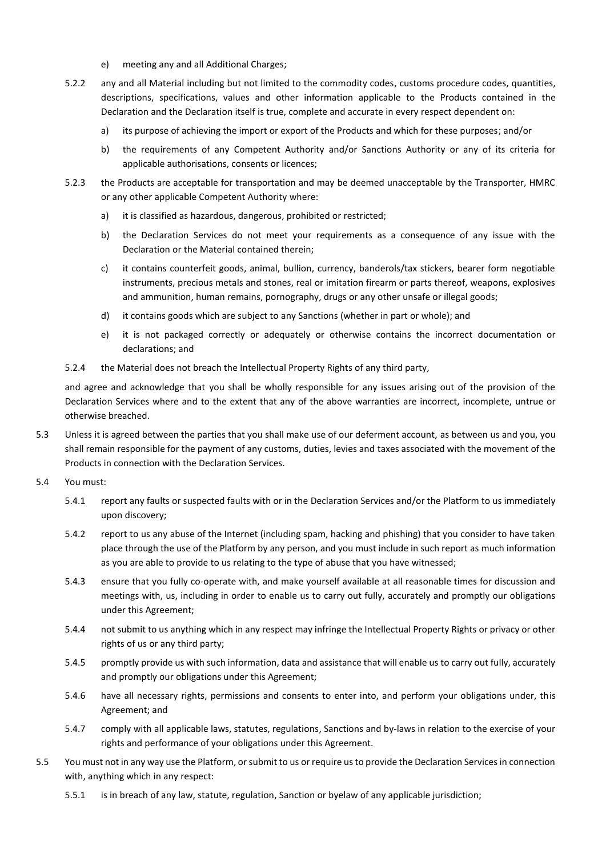- e) meeting any and all Additional Charges;
- 5.2.2 any and all Material including but not limited to the commodity codes, customs procedure codes, quantities, descriptions, specifications, values and other information applicable to the Products contained in the Declaration and the Declaration itself is true, complete and accurate in every respect dependent on:
	- a) its purpose of achieving the import or export of the Products and which for these purposes; and/or
	- b) the requirements of any Competent Authority and/or Sanctions Authority or any of its criteria for applicable authorisations, consents or licences;
- 5.2.3 the Products are acceptable for transportation and may be deemed unacceptable by the Transporter, HMRC or any other applicable Competent Authority where:
	- a) it is classified as hazardous, dangerous, prohibited or restricted;
	- b) the Declaration Services do not meet your requirements as a consequence of any issue with the Declaration or the Material contained therein;
	- c) it contains counterfeit goods, animal, bullion, currency, banderols/tax stickers, bearer form negotiable instruments, precious metals and stones, real or imitation firearm or parts thereof, weapons, explosives and ammunition, human remains, pornography, drugs or any other unsafe or illegal goods;
	- d) it contains goods which are subject to any Sanctions (whether in part or whole); and
	- e) it is not packaged correctly or adequately or otherwise contains the incorrect documentation or declarations; and
- 5.2.4 the Material does not breach the Intellectual Property Rights of any third party,

and agree and acknowledge that you shall be wholly responsible for any issues arising out of the provision of the Declaration Services where and to the extent that any of the above warranties are incorrect, incomplete, untrue or otherwise breached.

- 5.3 Unless it is agreed between the parties that you shall make use of our deferment account, as between us and you, you shall remain responsible for the payment of any customs, duties, levies and taxes associated with the movement of the Products in connection with the Declaration Services.
- 5.4 You must:
	- 5.4.1 report any faults or suspected faults with or in the Declaration Services and/or the Platform to us immediately upon discovery;
	- 5.4.2 report to us any abuse of the Internet (including spam, hacking and phishing) that you consider to have taken place through the use of the Platform by any person, and you must include in such report as much information as you are able to provide to us relating to the type of abuse that you have witnessed;
	- 5.4.3 ensure that you fully co-operate with, and make yourself available at all reasonable times for discussion and meetings with, us, including in order to enable us to carry out fully, accurately and promptly our obligations under this Agreement;
	- 5.4.4 not submit to us anything which in any respect may infringe the Intellectual Property Rights or privacy or other rights of us or any third party;
	- 5.4.5 promptly provide us with such information, data and assistance that will enable us to carry out fully, accurately and promptly our obligations under this Agreement;
	- 5.4.6 have all necessary rights, permissions and consents to enter into, and perform your obligations under, this Agreement; and
	- 5.4.7 comply with all applicable laws, statutes, regulations, Sanctions and by-laws in relation to the exercise of your rights and performance of your obligations under this Agreement.
- 5.5 You must not in any way use the Platform, or submit to us or require us to provide the Declaration Services in connection with, anything which in any respect:
	- 5.5.1 is in breach of any law, statute, regulation, Sanction or byelaw of any applicable jurisdiction;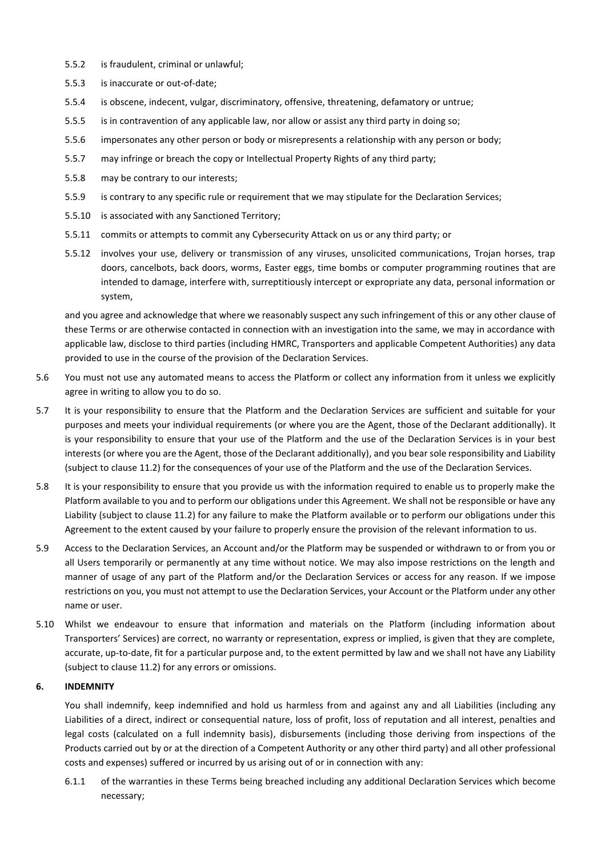- 5.5.2 is fraudulent, criminal or unlawful;
- 5.5.3 is inaccurate or out-of-date;
- 5.5.4 is obscene, indecent, vulgar, discriminatory, offensive, threatening, defamatory or untrue;
- 5.5.5 is in contravention of any applicable law, nor allow or assist any third party in doing so;
- 5.5.6 impersonates any other person or body or misrepresents a relationship with any person or body;
- 5.5.7 may infringe or breach the copy or Intellectual Property Rights of any third party;
- 5.5.8 may be contrary to our interests;
- 5.5.9 is contrary to any specific rule or requirement that we may stipulate for the Declaration Services;
- 5.5.10 is associated with any Sanctioned Territory;
- 5.5.11 commits or attempts to commit any Cybersecurity Attack on us or any third party; or
- 5.5.12 involves your use, delivery or transmission of any viruses, unsolicited communications, Trojan horses, trap doors, cancelbots, back doors, worms, Easter eggs, time bombs or computer programming routines that are intended to damage, interfere with, surreptitiously intercept or expropriate any data, personal information or system,

and you agree and acknowledge that where we reasonably suspect any such infringement of this or any other clause of these Terms or are otherwise contacted in connection with an investigation into the same, we may in accordance with applicable law, disclose to third parties (including HMRC, Transporters and applicable Competent Authorities) any data provided to use in the course of the provision of the Declaration Services.

- 5.6 You must not use any automated means to access the Platform or collect any information from it unless we explicitly agree in writing to allow you to do so.
- 5.7 It is your responsibility to ensure that the Platform and the Declaration Services are sufficient and suitable for your purposes and meets your individual requirements (or where you are the Agent, those of the Declarant additionally). It is your responsibility to ensure that your use of the Platform and the use of the Declaration Services is in your best interests (or where you are the Agent, those of the Declarant additionally), and you bear sole responsibility and Liability (subject to clause 11.2) for the consequences of your use of the Platform and the use of the Declaration Services.
- 5.8 It is your responsibility to ensure that you provide us with the information required to enable us to properly make the Platform available to you and to perform our obligations under this Agreement. We shall not be responsible or have any Liability (subject to clause 11.2) for any failure to make the Platform available or to perform our obligations under this Agreement to the extent caused by your failure to properly ensure the provision of the relevant information to us.
- 5.9 Access to the Declaration Services, an Account and/or the Platform may be suspended or withdrawn to or from you or all Users temporarily or permanently at any time without notice. We may also impose restrictions on the length and manner of usage of any part of the Platform and/or the Declaration Services or access for any reason. If we impose restrictions on you, you must not attempt to use the Declaration Services, your Account or the Platform under any other name or user.
- 5.10 Whilst we endeavour to ensure that information and materials on the Platform (including information about Transporters' Services) are correct, no warranty or representation, express or implied, is given that they are complete, accurate, up-to-date, fit for a particular purpose and, to the extent permitted by law and we shall not have any Liability (subject to clause 11.2) for any errors or omissions.

## **6. INDEMNITY**

You shall indemnify, keep indemnified and hold us harmless from and against any and all Liabilities (including any Liabilities of a direct, indirect or consequential nature, loss of profit, loss of reputation and all interest, penalties and legal costs (calculated on a full indemnity basis), disbursements (including those deriving from inspections of the Products carried out by or at the direction of a Competent Authority or any other third party) and all other professional costs and expenses) suffered or incurred by us arising out of or in connection with any:

6.1.1 of the warranties in these Terms being breached including any additional Declaration Services which become necessary;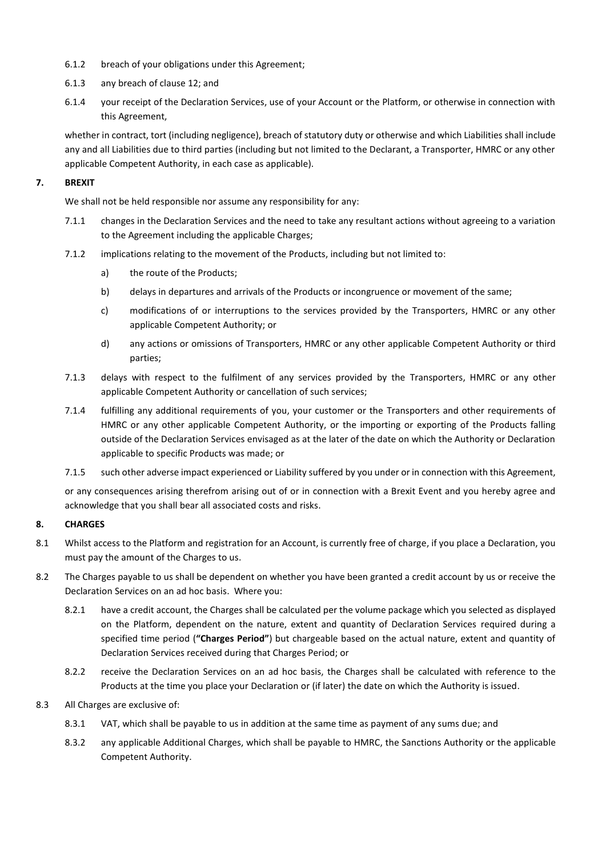- 6.1.2 breach of your obligations under this Agreement;
- 6.1.3 any breach of clause 12; and
- 6.1.4 your receipt of the Declaration Services, use of your Account or the Platform, or otherwise in connection with this Agreement,

whether in contract, tort (including negligence), breach of statutory duty or otherwise and which Liabilities shall include any and all Liabilities due to third parties (including but not limited to the Declarant, a Transporter, HMRC or any other applicable Competent Authority, in each case as applicable).

## **7. BREXIT**

We shall not be held responsible nor assume any responsibility for any:

- 7.1.1 changes in the Declaration Services and the need to take any resultant actions without agreeing to a variation to the Agreement including the applicable Charges;
- 7.1.2 implications relating to the movement of the Products, including but not limited to:
	- a) the route of the Products;
	- b) delays in departures and arrivals of the Products or incongruence or movement of the same;
	- c) modifications of or interruptions to the services provided by the Transporters, HMRC or any other applicable Competent Authority; or
	- d) any actions or omissions of Transporters, HMRC or any other applicable Competent Authority or third parties;
- 7.1.3 delays with respect to the fulfilment of any services provided by the Transporters, HMRC or any other applicable Competent Authority or cancellation of such services;
- 7.1.4 fulfilling any additional requirements of you, your customer or the Transporters and other requirements of HMRC or any other applicable Competent Authority, or the importing or exporting of the Products falling outside of the Declaration Services envisaged as at the later of the date on which the Authority or Declaration applicable to specific Products was made; or
- 7.1.5 such other adverse impact experienced or Liability suffered by you under or in connection with this Agreement,

or any consequences arising therefrom arising out of or in connection with a Brexit Event and you hereby agree and acknowledge that you shall bear all associated costs and risks.

#### **8. CHARGES**

- 8.1 Whilst access to the Platform and registration for an Account, is currently free of charge, if you place a Declaration, you must pay the amount of the Charges to us.
- 8.2 The Charges payable to us shall be dependent on whether you have been granted a credit account by us or receive the Declaration Services on an ad hoc basis. Where you:
	- 8.2.1 have a credit account, the Charges shall be calculated per the volume package which you selected as displayed on the Platform, dependent on the nature, extent and quantity of Declaration Services required during a specified time period (**"Charges Period"**) but chargeable based on the actual nature, extent and quantity of Declaration Services received during that Charges Period; or
	- 8.2.2 receive the Declaration Services on an ad hoc basis, the Charges shall be calculated with reference to the Products at the time you place your Declaration or (if later) the date on which the Authority is issued.
- 8.3 All Charges are exclusive of:
	- 8.3.1 VAT, which shall be payable to us in addition at the same time as payment of any sums due; and
	- 8.3.2 any applicable Additional Charges, which shall be payable to HMRC, the Sanctions Authority or the applicable Competent Authority.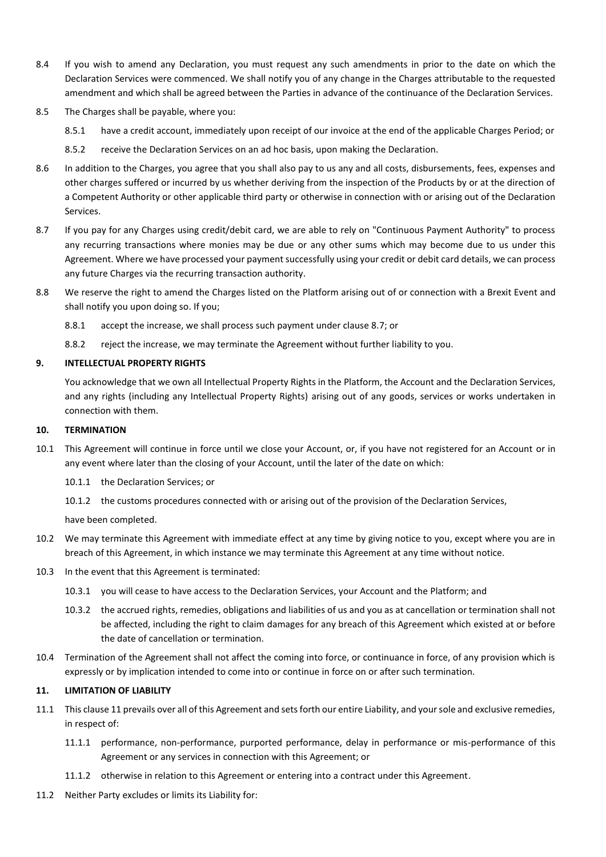- 8.4 If you wish to amend any Declaration, you must request any such amendments in prior to the date on which the Declaration Services were commenced. We shall notify you of any change in the Charges attributable to the requested amendment and which shall be agreed between the Parties in advance of the continuance of the Declaration Services.
- 8.5 The Charges shall be payable, where you:
	- 8.5.1 have a credit account, immediately upon receipt of our invoice at the end of the applicable Charges Period; or
	- 8.5.2 receive the Declaration Services on an ad hoc basis, upon making the Declaration.
- 8.6 In addition to the Charges, you agree that you shall also pay to us any and all costs, disbursements, fees, expenses and other charges suffered or incurred by us whether deriving from the inspection of the Products by or at the direction of a Competent Authority or other applicable third party or otherwise in connection with or arising out of the Declaration Services.
- 8.7 If you pay for any Charges using credit/debit card, we are able to rely on "Continuous Payment Authority" to process any recurring transactions where monies may be due or any other sums which may become due to us under this Agreement. Where we have processed your payment successfully using your credit or debit card details, we can process any future Charges via the recurring transaction authority.
- 8.8 We reserve the right to amend the Charges listed on the Platform arising out of or connection with a Brexit Event and shall notify you upon doing so. If you;
	- 8.8.1 accept the increase, we shall process such payment under clause 8.7; or
	- 8.8.2 reject the increase, we may terminate the Agreement without further liability to you.

#### **9. INTELLECTUAL PROPERTY RIGHTS**

You acknowledge that we own all Intellectual Property Rights in the Platform, the Account and the Declaration Services, and any rights (including any Intellectual Property Rights) arising out of any goods, services or works undertaken in connection with them.

#### **10. TERMINATION**

- 10.1 This Agreement will continue in force until we close your Account, or, if you have not registered for an Account or in any event where later than the closing of your Account, until the later of the date on which:
	- 10.1.1 the Declaration Services; or
	- 10.1.2 the customs procedures connected with or arising out of the provision of the Declaration Services,

have been completed.

- 10.2 We may terminate this Agreement with immediate effect at any time by giving notice to you, except where you are in breach of this Agreement, in which instance we may terminate this Agreement at any time without notice.
- 10.3 In the event that this Agreement is terminated:
	- 10.3.1 you will cease to have access to the Declaration Services, your Account and the Platform; and
	- 10.3.2 the accrued rights, remedies, obligations and liabilities of us and you as at cancellation or termination shall not be affected, including the right to claim damages for any breach of this Agreement which existed at or before the date of cancellation or termination.
- 10.4 Termination of the Agreement shall not affect the coming into force, or continuance in force, of any provision which is expressly or by implication intended to come into or continue in force on or after such termination.

#### **11. LIMITATION OF LIABILITY**

- 11.1 This clause 11 prevails over all of this Agreement and sets forth our entire Liability, and your sole and exclusive remedies, in respect of:
	- 11.1.1 performance, non-performance, purported performance, delay in performance or mis-performance of this Agreement or any services in connection with this Agreement; or
	- 11.1.2 otherwise in relation to this Agreement or entering into a contract under this Agreement.
- 11.2 Neither Party excludes or limits its Liability for: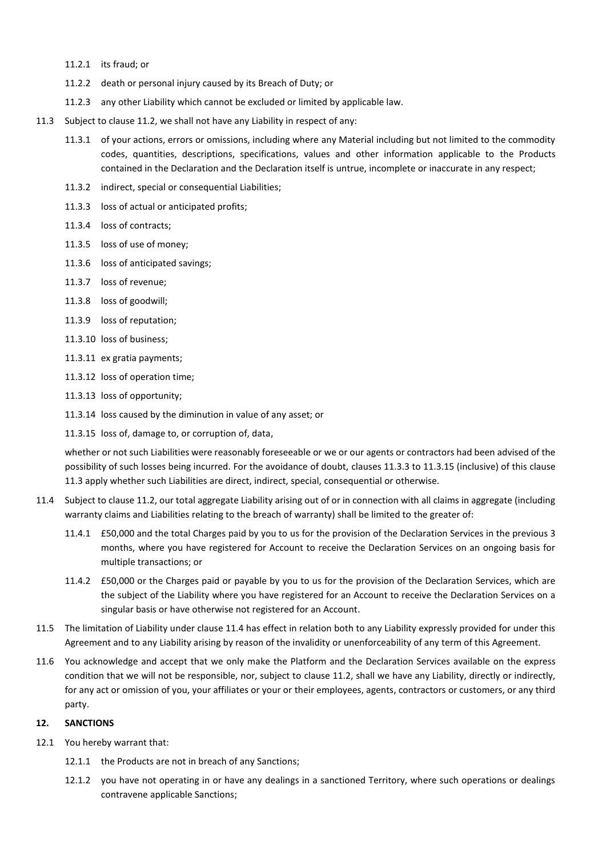- 11.2.1 its fraud; or
- 11.2.2 death or personal injury caused by its Breach of Duty; or
- 11.2.3 any other Liability which cannot be excluded or limited by applicable law.
- 11.3 Subject to clause 11.2, we shall not have any Liability in respect of any:
	- 11.3.1 of your actions, errors or omissions, including where any Material including but not limited to the commodity codes, quantities, descriptions, specifications, values and other information applicable to the Products contained in the Declaration and the Declaration itself is untrue, incomplete or inaccurate in any respect;
	- 11.3.2 indirect, special or consequential Liabilities;
	- 11.3.3 loss of actual or anticipated profits;
	- 11.3.4 loss of contracts;
	- 11.3.5 loss of use of money;
	- 11.3.6 loss of anticipated savings;
	- 11.3.7 loss of revenue;
	- 11.3.8 loss of goodwill;
	- 11.3.9 loss of reputation;
	- 11.3.10 loss of business;
	- 11.3.11 ex gratia payments;
	- 11.3.12 loss of operation time;
	- 11.3.13 loss of opportunity;
	- 11.3.14 loss caused by the diminution in value of any asset; or
	- 11.3.15 loss of, damage to, or corruption of, data,

whether or not such Liabilities were reasonably foreseeable or we or our agents or contractors had been advised of the possibility of such losses being incurred. For the avoidance of doubt, clauses 11.3.3 to 11.3.15 (inclusive) of this clause 11.3 apply whether such Liabilities are direct, indirect, special, consequential or otherwise.

- 11.4 Subject to clause 11.2, our total aggregate Liability arising out of or in connection with all claims in aggregate (including warranty claims and Liabilities relating to the breach of warranty) shall be limited to the greater of:
	- 11.4.1 £50,000 and the total Charges paid by you to us for the provision of the Declaration Services in the previous 3 months, where you have registered for Account to receive the Declaration Services on an ongoing basis for multiple transactions; or
	- 11.4.2 £50,000 or the Charges paid or payable by you to us for the provision of the Declaration Services, which are the subject of the Liability where you have registered for an Account to receive the Declaration Services on a singular basis or have otherwise not registered for an Account.
- 11.5 The limitation of Liability under clause 11.4 has effect in relation both to any Liability expressly provided for under this Agreement and to any Liability arising by reason of the invalidity or unenforceability of any term of this Agreement.
- 11.6 You acknowledge and accept that we only make the Platform and the Declaration Services available on the express condition that we will not be responsible, nor, subject to clause 11.2, shall we have any Liability, directly or indirectly, for any act or omission of you, your affiliates or your or their employees, agents, contractors or customers, or any third party.

#### **12. SANCTIONS**

- 12.1 You hereby warrant that:
	- 12.1.1 the Products are not in breach of any Sanctions;
	- 12.1.2 you have not operating in or have any dealings in a sanctioned Territory, where such operations or dealings contravene applicable Sanctions;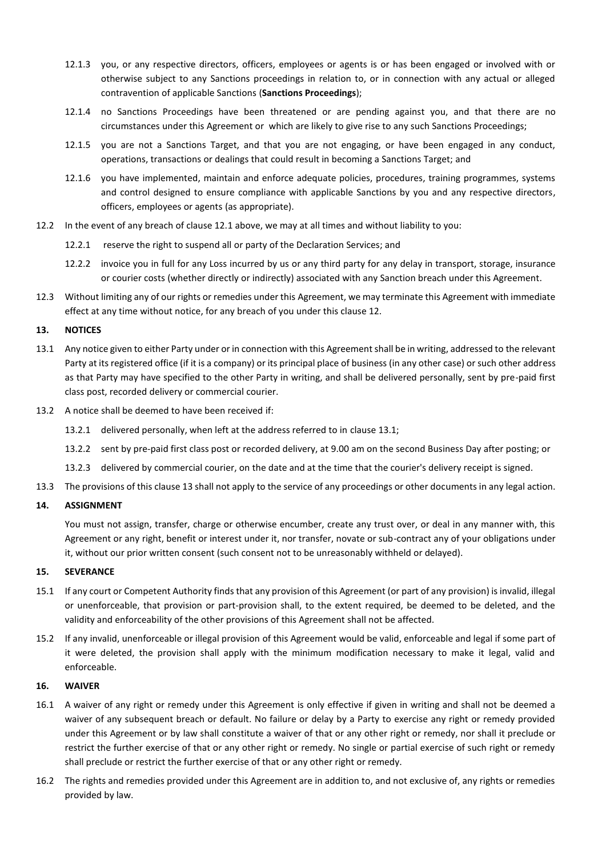- 12.1.3 you, or any respective directors, officers, employees or agents is or has been engaged or involved with or otherwise subject to any Sanctions proceedings in relation to, or in connection with any actual or alleged contravention of applicable Sanctions (**Sanctions Proceedings**);
- 12.1.4 no Sanctions Proceedings have been threatened or are pending against you, and that there are no circumstances under this Agreement or which are likely to give rise to any such Sanctions Proceedings;
- 12.1.5 you are not a Sanctions Target, and that you are not engaging, or have been engaged in any conduct, operations, transactions or dealings that could result in becoming a Sanctions Target; and
- 12.1.6 you have implemented, maintain and enforce adequate policies, procedures, training programmes, systems and control designed to ensure compliance with applicable Sanctions by you and any respective directors, officers, employees or agents (as appropriate).
- 12.2 In the event of any breach of clause 12.1 above, we may at all times and without liability to you:
	- 12.2.1 reserve the right to suspend all or party of the Declaration Services; and
	- 12.2.2 invoice you in full for any Loss incurred by us or any third party for any delay in transport, storage, insurance or courier costs (whether directly or indirectly) associated with any Sanction breach under this Agreement.
- 12.3 Without limiting any of our rights or remedies under this Agreement, we may terminate this Agreement with immediate effect at any time without notice, for any breach of you under this clause 12.

#### **13. NOTICES**

- 13.1 Any notice given to either Party under or in connection with this Agreement shall be in writing, addressed to the relevant Party at its registered office (if it is a company) or its principal place of business (in any other case) or such other address as that Party may have specified to the other Party in writing, and shall be delivered personally, sent by pre-paid first class post, recorded delivery or commercial courier.
- 13.2 A notice shall be deemed to have been received if:
	- 13.2.1 delivered personally, when left at the address referred to in clause 13.1;
	- 13.2.2 sent by pre-paid first class post or recorded delivery, at 9.00 am on the second Business Day after posting; or
	- 13.2.3 delivered by commercial courier, on the date and at the time that the courier's delivery receipt is signed.
- 13.3 The provisions of this clause 13 shall not apply to the service of any proceedings or other documents in any legal action.

#### **14. ASSIGNMENT**

You must not assign, transfer, charge or otherwise encumber, create any trust over, or deal in any manner with, this Agreement or any right, benefit or interest under it, nor transfer, novate or sub-contract any of your obligations under it, without our prior written consent (such consent not to be unreasonably withheld or delayed).

#### **15. SEVERANCE**

- 15.1 If any court or Competent Authority finds that any provision of this Agreement (or part of any provision) is invalid, illegal or unenforceable, that provision or part-provision shall, to the extent required, be deemed to be deleted, and the validity and enforceability of the other provisions of this Agreement shall not be affected.
- 15.2 If any invalid, unenforceable or illegal provision of this Agreement would be valid, enforceable and legal if some part of it were deleted, the provision shall apply with the minimum modification necessary to make it legal, valid and enforceable.

#### **16. WAIVER**

- 16.1 A waiver of any right or remedy under this Agreement is only effective if given in writing and shall not be deemed a waiver of any subsequent breach or default. No failure or delay by a Party to exercise any right or remedy provided under this Agreement or by law shall constitute a waiver of that or any other right or remedy, nor shall it preclude or restrict the further exercise of that or any other right or remedy. No single or partial exercise of such right or remedy shall preclude or restrict the further exercise of that or any other right or remedy.
- 16.2 The rights and remedies provided under this Agreement are in addition to, and not exclusive of, any rights or remedies provided by law.